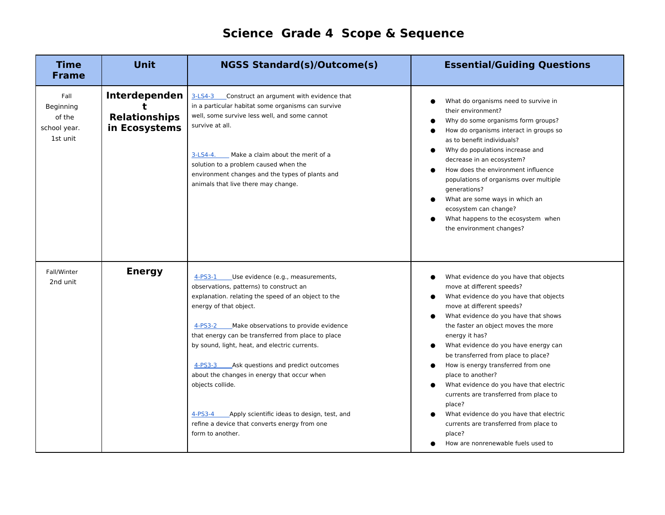## **Science Grade 4 Scope & Sequence**

| <b>Time</b><br><b>Frame</b>                             | <b>Unit</b>                                            | <b>NGSS Standard(s)/Outcome(s)</b>                                                                                                                                                                                                                                                                                                                                                                                                                                                                                                                                                         | <b>Essential/Guiding Questions</b>                                                                                                                                                                                                                                                                                                                                                                                                                                                                                                                                                                                        |
|---------------------------------------------------------|--------------------------------------------------------|--------------------------------------------------------------------------------------------------------------------------------------------------------------------------------------------------------------------------------------------------------------------------------------------------------------------------------------------------------------------------------------------------------------------------------------------------------------------------------------------------------------------------------------------------------------------------------------------|---------------------------------------------------------------------------------------------------------------------------------------------------------------------------------------------------------------------------------------------------------------------------------------------------------------------------------------------------------------------------------------------------------------------------------------------------------------------------------------------------------------------------------------------------------------------------------------------------------------------------|
| Fall<br>Beginning<br>of the<br>school year.<br>1st unit | Interdependen<br><b>Relationships</b><br>in Ecosystems | 3-LS4-3 Construct an argument with evidence that<br>in a particular habitat some organisms can survive<br>well, some survive less well, and some cannot<br>survive at all.<br>Make a claim about the merit of a<br>$3-LS4-4.$<br>solution to a problem caused when the<br>environment changes and the types of plants and<br>animals that live there may change.                                                                                                                                                                                                                           | What do organisms need to survive in<br>their environment?<br>Why do some organisms form groups?<br>How do organisms interact in groups so<br>as to benefit individuals?<br>Why do populations increase and<br>decrease in an ecosystem?<br>How does the environment influence<br>populations of organisms over multiple<br>qenerations?<br>What are some ways in which an<br>ecosystem can change?<br>What happens to the ecosystem when<br>the environment changes?                                                                                                                                                     |
| Fall/Winter<br>2nd unit                                 | <b>Energy</b>                                          | $4-PS3-1$<br>Use evidence (e.g., measurements,<br>observations, patterns) to construct an<br>explanation. relating the speed of an object to the<br>energy of that object.<br>$4-PS3-2$<br>Make observations to provide evidence<br>that energy can be transferred from place to place<br>by sound, light, heat, and electric currents.<br>Ask questions and predict outcomes<br>4-PS3-3<br>about the changes in energy that occur when<br>objects collide.<br>Apply scientific ideas to design, test, and<br>4-PS3-4<br>refine a device that converts energy from one<br>form to another. | What evidence do you have that objects<br>move at different speeds?<br>What evidence do you have that objects<br>move at different speeds?<br>What evidence do you have that shows<br>the faster an object moves the more<br>energy it has?<br>What evidence do you have energy can<br>be transferred from place to place?<br>How is energy transferred from one<br>place to another?<br>What evidence do you have that electric<br>currents are transferred from place to<br>place?<br>What evidence do you have that electric<br>currents are transferred from place to<br>place?<br>How are nonrenewable fuels used to |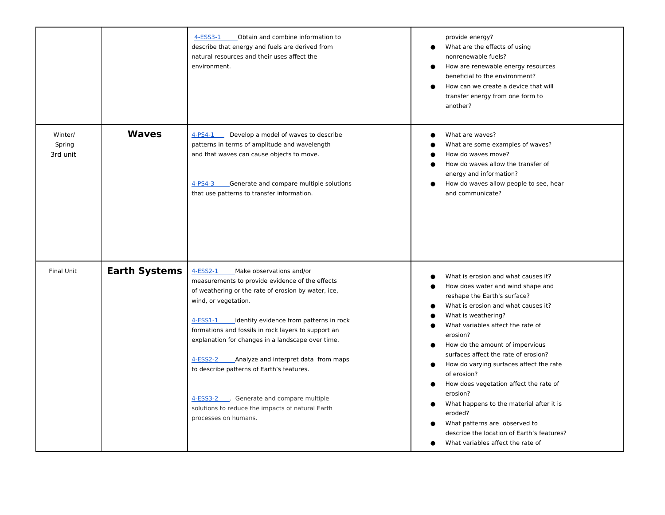|                               |                      | $4-ESS3-1$<br>Obtain and combine information to<br>describe that energy and fuels are derived from<br>natural resources and their uses affect the<br>environment.                                                                                                                                                                                                                                                                                                                                                                                                    | provide energy?<br>What are the effects of using<br>$\bullet$<br>nonrenewable fuels?<br>How are renewable energy resources<br>beneficial to the environment?<br>How can we create a device that will<br>transfer energy from one form to<br>another?                                                                                                                                                                                                                                                                                                                                                                                               |
|-------------------------------|----------------------|----------------------------------------------------------------------------------------------------------------------------------------------------------------------------------------------------------------------------------------------------------------------------------------------------------------------------------------------------------------------------------------------------------------------------------------------------------------------------------------------------------------------------------------------------------------------|----------------------------------------------------------------------------------------------------------------------------------------------------------------------------------------------------------------------------------------------------------------------------------------------------------------------------------------------------------------------------------------------------------------------------------------------------------------------------------------------------------------------------------------------------------------------------------------------------------------------------------------------------|
| Winter/<br>Spring<br>3rd unit | <b>Waves</b>         | 4-PS4-1<br>Develop a model of waves to describe<br>patterns in terms of amplitude and wavelength<br>and that waves can cause objects to move.<br>$4-PS4-3$<br>Generate and compare multiple solutions<br>that use patterns to transfer information.                                                                                                                                                                                                                                                                                                                  | What are waves?<br>What are some examples of waves?<br>How do waves move?<br>How do waves allow the transfer of<br>energy and information?<br>How do waves allow people to see, hear<br>$\bullet$<br>and communicate?                                                                                                                                                                                                                                                                                                                                                                                                                              |
| <b>Final Unit</b>             | <b>Earth Systems</b> | $4-ESS2-1$<br>Make observations and/or<br>measurements to provide evidence of the effects<br>of weathering or the rate of erosion by water, ice,<br>wind, or vegetation.<br>4-ESS1-1<br>Identify evidence from patterns in rock<br>formations and fossils in rock layers to support an<br>explanation for changes in a landscape over time.<br>4-ESS2-2<br>Analyze and interpret data from maps<br>to describe patterns of Earth's features.<br>4-ESS3-2 . Generate and compare multiple<br>solutions to reduce the impacts of natural Earth<br>processes on humans. | What is erosion and what causes it?<br>How does water and wind shape and<br>reshape the Earth's surface?<br>What is erosion and what causes it?<br>$\epsilon$<br>What is weathering?<br>What variables affect the rate of<br>erosion?<br>How do the amount of impervious<br>surfaces affect the rate of erosion?<br>How do varying surfaces affect the rate<br>$\bullet$<br>of erosion?<br>How does vegetation affect the rate of<br>$\bullet$<br>erosion?<br>What happens to the material after it is<br>$\bullet$<br>eroded?<br>What patterns are observed to<br>describe the location of Earth's features?<br>What variables affect the rate of |